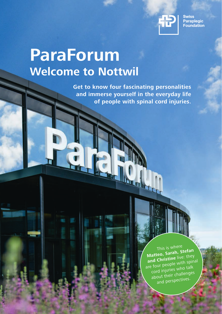

**Swiss Paraplegic** Foundation

# **ParaForum Welcome to Nottwil**

**Get to know four fascinating personalities** and immerse yourself in the everyday life of people with spinal cord injuries.

> This is where Matteo, Sarah, Stefan and Christine live: they are four people with spinal cord injuries who talk about their challenges and perspectives.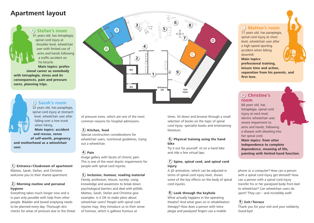## **Apartment layout**

**A Stefan's room** 41 years old, has tetraplegia, spinal cord injury at shoulder level, wheelchair user with limited use of arms and hands following a traffic accident on his bicycle.

**Main topics: professional career as somebody with tetraplegia, stress and its consequences, pain and pressure sores, planning trips.**

## **B Sarah's room**

32 years old, has paraplegia, spinal cord injury at stomach level, wheelchair user after falling over a tree trunk when hiking. **Main topics: accident and rescue, sense** 

**of self-worth, pregnancy and motherhood as a wheelchair user.**

## **1 Entrance / Cloakroom of apartment** Matteo, Sarah, Stefan, and Christine welcome you to their shared apartment.

## **2 Morning routine and personal hygiene**

Everything takes much longer now and is in part only possible with help from other people. Bladder and bowel emptying needs to be planned every day. Thorough skin checks for areas of pressure due to the threat



of pressure sores, which are one of the most common reasons for hospital admissions.

## **3 Kitchen, food**

Special construction considerations for wheelchair users, nutritional guidelines, trying out a wheelchair.

## **4 Pain**

Image gallery with facets of chronic pain. This is one of the most drastic impairments for people with spinal cord injuries.

**5 Inclusion, humour, reading material**

Family, profession, leisure, society: using knowledge and awareness to break down psychological barriers and deal with pitfalls. Matteo, Sarah, Stefan and Christine give examples. Is it OK to make jokes about wheelchair users? People with spinal cord injuries may; they introduce us to their sense of humour, which is gallows humour at

times. Sit down and browse through a small selection of books on the topic of spinal cord injury: specialist books and entertaining literature.

## **6 Physical training using the hand bike**

Try it out for yourself: sit on a hand bike and ride a few virtual laps.

## **7 Spine, spinal cord, and spinal cord injury**

A 3D animation, which can be adjusted in terms of spinal cord injury level, shows some of the key effects on the body of spinal cord injuries.

## **8 Look through the keyhole**

What actually happens in the operating theatre? And what goes on in rehabilitation therapy? How does a person with tetraplegia and paralysed fingers use a mobile

## **C Matteo's room**

17 years old, has paraplegia, spinal cord injury at chest level, wheelchair user after a high-speed sporting accident when biking downhill. **Main topics: professional training, leisure time and action, separation from his parents, and first love.**

## **D Christine's room**

68 years old, has tetraplegia, spinal cord injury at neck level, electric wheelchair user, severe impairment to arms and hands, following a disease with bleeding into her spinal cord. **Main topics: from utter independence to complete dependence, meaning of life, painting with limited hand function.**

phone or a computer? How can a person with a spinal cord injury get dressed? How can a person with a spinal cord injury transfer his or her paralysed body from bed to wheelchair? Can wheelchair users do sport? They can – and incredibly well!

## **9 Exit/ Terrace**

Thank you for your visit and your solidarity. Good-bye!